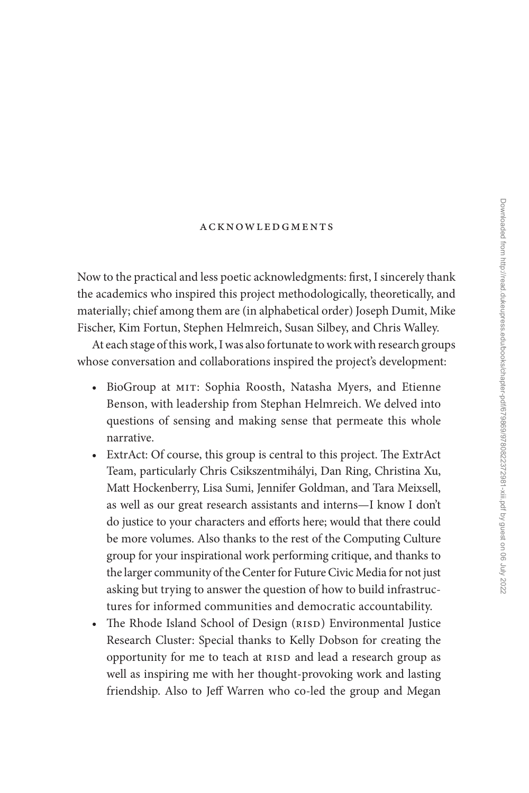## [acknowledgments](#page--1-0)

Now to the practical and less poetic acknowledgments: first, I sincerely thank the academics who inspired this project methodologically, theoretically, and materially; chief among them are (in alphabetical order) Joseph Dumit, Mike Fischer, Kim Fortun, Stephen Helmreich, Susan Silbey, and Chris Walley.

At each stage of this work, I was also fortunate to work with research groups whose conversation and collaborations inspired the project's development:

- BioGroup at MIT: Sophia Roosth, Natasha Myers, and Etienne Benson, with leadership from Stephan Helmreich. We delved into questions of sensing and making sense that permeate this whole narrative.
- ExtrAct: Of course, this group is central to this project. The ExtrAct Team, particularly Chris Csikszentmihályi, Dan Ring, Christina Xu, Matt Hockenberry, Lisa Sumi, Jennifer Goldman, and Tara Meixsell, as well as our great research assistants and interns—I know I don't do justice to your characters and efforts here; would that there could be more volumes. Also thanks to the rest of the Computing Culture group for your inspirational work performing critique, and thanks to the larger community of the Center for Future Civic Media for not just asking but trying to answer the question of how to build infrastructures for informed communities and democratic accountability.
- The Rhode Island School of Design (RISD) Environmental Justice Research Cluster: Special thanks to Kelly Dobson for creating the opportunity for me to teach at RISD and lead a research group as well as inspiring me with her thought-provoking work and lasting friendship. Also to Jeff Warren who co-led the group and Megan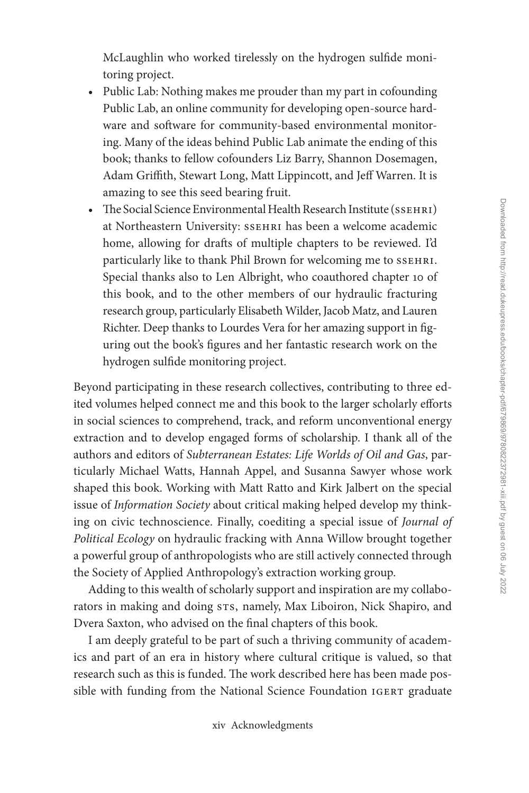McLaughlin who worked tirelessly on the hydrogen sulfide monitoring project.

- Public Lab: Nothing makes me prouder than my part in cofounding Public Lab, an online community for developing open-source hardware and software for community-based environmental monitoring. Many of the ideas behind Public Lab animate the ending of this book; thanks to fellow cofounders Liz Barry, Shannon Dosemagen, Adam Griffith, Stewart Long, Matt Lippincott, and Jeff Warren. It is amazing to see this seed bearing fruit.
- The Social Science Environmental Health Research Institute (SSEHRI) at Northeastern University: SSEHRI has been a welcome academic home, allowing for drafts of multiple chapters to be reviewed. I'd particularly like to thank Phil Brown for welcoming me to SSEHRI. Special thanks also to Len Albright, who coauthored chapter 10 of this book, and to the other members of our hydraulic fracturing research group, particularly Elisabeth Wilder, Jacob Matz, and Lauren Richter. Deep thanks to Lourdes Vera for her amazing support in figuring out the book's figures and her fantastic research work on the hydrogen sulfide monitoring project.

Beyond participating in these research collectives, contributing to three edited volumes helped connect me and this book to the larger scholarly efforts in social sciences to comprehend, track, and reform unconventional energy extraction and to develop engaged forms of scholarship. I thank all of the authors and editors of *Subterranean Estates: Life Worlds of Oil and Gas*, particularly Michael Watts, Hannah Appel, and Susanna Sawyer whose work shaped this book. Working with Matt Ratto and Kirk Jalbert on the special issue of *Information Society* about critical making helped develop my thinking on civic technoscience. Finally, coediting a special issue of *Journal of Political Ecology* on hydraulic fracking with Anna Willow brought together a powerful group of anthropologists who are still actively connected through the Society of Applied Anthropology's extraction working group.

Adding to this wealth of scholarly support and inspiration are my collaborators in making and doing s $rs$ , namely, Max Liboiron, Nick Shapiro, and Dvera Saxton, who advised on the final chapters of this book.

I am deeply grateful to be part of such a thriving community of academics and part of an era in history where cultural critique is valued, so that research such as this is funded. The work described here has been made possible with funding from the National Science Foundation IGERT graduate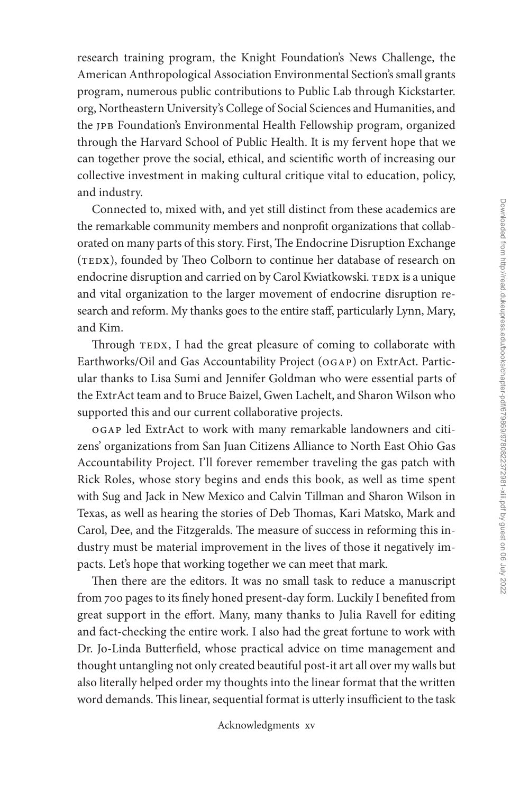research training program, the Knight Foundation's News Challenge, the American Anthropological Association Environmental Section's small grants program, numerous public contributions to Public Lab through [Kickstarter.](http://Kickstarter.org) [org](http://Kickstarter.org), Northeastern University's College of Social Sciences and Humanities, and the jpb Foundation's Environmental Health Fellowship program, organized through the Harvard School of Public Health. It is my fervent hope that we can together prove the social, ethical, and scientific worth of increasing our collective investment in making cultural critique vital to education, policy, and industry.

Connected to, mixed with, and yet still distinct from these academics are the remarkable community members and nonprofit organizations that collaborated on many parts of this story. First, The Endocrine Disruption Exchange (TEDX), founded by Theo Colborn to continue her database of research on endocrine disruption and carried on by Carol Kwiatkowski. TEDX is a unique and vital organization to the larger movement of endocrine disruption research and reform. My thanks goes to the entire staff, particularly Lynn, Mary, and Kim.

Through TEDX, I had the great pleasure of coming to collaborate with Earthworks/Oil and Gas Accountability Project (ogap) on ExtrAct. Particular thanks to Lisa Sumi and Jennifer Goldman who were essential parts of the ExtrAct team and to Bruce Baizel, Gwen Lachelt, and Sharon Wilson who supported this and our current collaborative projects.

ogap led ExtrAct to work with many remarkable landowners and citizens' organizations from San Juan Citizens Alliance to North East Ohio Gas Accountability Project. I'll forever remember traveling the gas patch with Rick Roles, whose story begins and ends this book, as well as time spent with Sug and Jack in New Mexico and Calvin Tillman and Sharon Wilson in Texas, as well as hearing the stories of Deb Thomas, Kari Matsko, Mark and Carol, Dee, and the Fitzgeralds. The measure of success in reforming this industry must be material improvement in the lives of those it negatively impacts. Let's hope that working together we can meet that mark.

Then there are the editors. It was no small task to reduce a manuscript from 700 pages to its finely honed present-day form. Luckily I benefited from great support in the effort. Many, many thanks to Julia Ravell for editing and fact-checking the entire work. I also had the great fortune to work with Dr. Jo-Linda Butterfield, whose practical advice on time management and thought untangling not only created beautiful post-it art all over my walls but also literally helped order my thoughts into the linear format that the written word demands. This linear, sequential format is utterly insufficient to the task